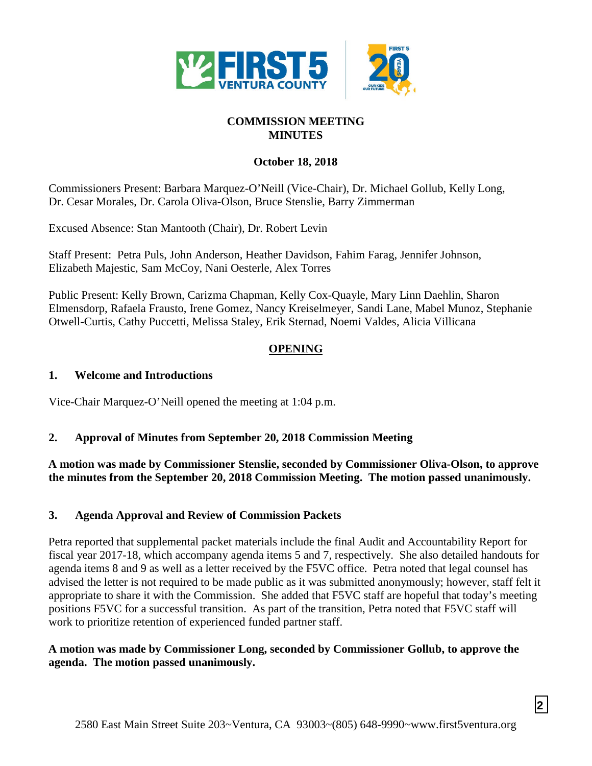

# **COMMISSION MEETING MINUTES**

#### **October 18, 2018**

Commissioners Present: Barbara Marquez-O'Neill (Vice-Chair), Dr. Michael Gollub, Kelly Long, Dr. Cesar Morales, Dr. Carola Oliva-Olson, Bruce Stenslie, Barry Zimmerman

Excused Absence: Stan Mantooth (Chair), Dr. Robert Levin

Staff Present: Petra Puls, John Anderson, Heather Davidson, Fahim Farag, Jennifer Johnson, Elizabeth Majestic, Sam McCoy, Nani Oesterle, Alex Torres

Public Present: Kelly Brown, Carizma Chapman, Kelly Cox-Quayle, Mary Linn Daehlin, Sharon Elmensdorp, Rafaela Frausto, Irene Gomez, Nancy Kreiselmeyer, Sandi Lane, Mabel Munoz, Stephanie Otwell-Curtis, Cathy Puccetti, Melissa Staley, Erik Sternad, Noemi Valdes, Alicia Villicana

#### **OPENING**

#### **1. Welcome and Introductions**

Vice-Chair Marquez-O'Neill opened the meeting at 1:04 p.m.

## **2. Approval of Minutes from September 20, 2018 Commission Meeting**

**A motion was made by Commissioner Stenslie, seconded by Commissioner Oliva-Olson, to approve the minutes from the September 20, 2018 Commission Meeting. The motion passed unanimously.**

## **3. Agenda Approval and Review of Commission Packets**

Petra reported that supplemental packet materials include the final Audit and Accountability Report for fiscal year 2017-18, which accompany agenda items 5 and 7, respectively. She also detailed handouts for agenda items 8 and 9 as well as a letter received by the F5VC office. Petra noted that legal counsel has advised the letter is not required to be made public as it was submitted anonymously; however, staff felt it appropriate to share it with the Commission. She added that F5VC staff are hopeful that today's meeting positions F5VC for a successful transition. As part of the transition, Petra noted that F5VC staff will work to prioritize retention of experienced funded partner staff.

#### **A motion was made by Commissioner Long, seconded by Commissioner Gollub, to approve the agenda. The motion passed unanimously.**

**2**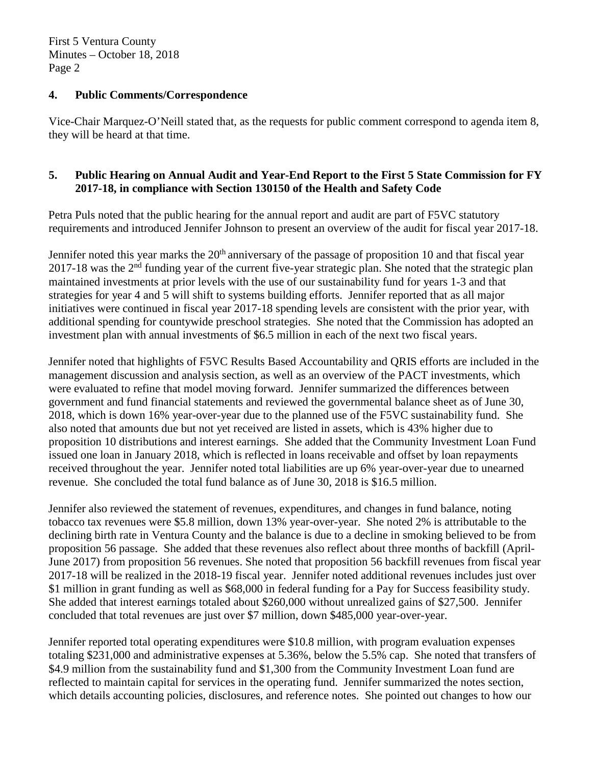#### **4. Public Comments/Correspondence**

Vice-Chair Marquez-O'Neill stated that, as the requests for public comment correspond to agenda item 8, they will be heard at that time.

## **5. Public Hearing on Annual Audit and Year-End Report to the First 5 State Commission for FY 2017-18, in compliance with Section 130150 of the Health and Safety Code**

Petra Puls noted that the public hearing for the annual report and audit are part of F5VC statutory requirements and introduced Jennifer Johnson to present an overview of the audit for fiscal year 2017-18.

Jennifer noted this year marks the  $20<sup>th</sup>$  anniversary of the passage of proposition 10 and that fiscal year 2017-18 was the 2<sup>nd</sup> funding year of the current five-year strategic plan. She noted that the strategic plan maintained investments at prior levels with the use of our sustainability fund for years 1-3 and that strategies for year 4 and 5 will shift to systems building efforts. Jennifer reported that as all major initiatives were continued in fiscal year 2017-18 spending levels are consistent with the prior year, with additional spending for countywide preschool strategies. She noted that the Commission has adopted an investment plan with annual investments of \$6.5 million in each of the next two fiscal years.

Jennifer noted that highlights of F5VC Results Based Accountability and QRIS efforts are included in the management discussion and analysis section, as well as an overview of the PACT investments, which were evaluated to refine that model moving forward. Jennifer summarized the differences between government and fund financial statements and reviewed the governmental balance sheet as of June 30, 2018, which is down 16% year-over-year due to the planned use of the F5VC sustainability fund. She also noted that amounts due but not yet received are listed in assets, which is 43% higher due to proposition 10 distributions and interest earnings. She added that the Community Investment Loan Fund issued one loan in January 2018, which is reflected in loans receivable and offset by loan repayments received throughout the year. Jennifer noted total liabilities are up 6% year-over-year due to unearned revenue. She concluded the total fund balance as of June 30, 2018 is \$16.5 million.

Jennifer also reviewed the statement of revenues, expenditures, and changes in fund balance, noting tobacco tax revenues were \$5.8 million, down 13% year-over-year. She noted 2% is attributable to the declining birth rate in Ventura County and the balance is due to a decline in smoking believed to be from proposition 56 passage. She added that these revenues also reflect about three months of backfill (April-June 2017) from proposition 56 revenues. She noted that proposition 56 backfill revenues from fiscal year 2017-18 will be realized in the 2018-19 fiscal year. Jennifer noted additional revenues includes just over \$1 million in grant funding as well as \$68,000 in federal funding for a Pay for Success feasibility study. She added that interest earnings totaled about \$260,000 without unrealized gains of \$27,500. Jennifer concluded that total revenues are just over \$7 million, down \$485,000 year-over-year.

Jennifer reported total operating expenditures were \$10.8 million, with program evaluation expenses totaling \$231,000 and administrative expenses at 5.36%, below the 5.5% cap. She noted that transfers of \$4.9 million from the sustainability fund and \$1,300 from the Community Investment Loan fund are reflected to maintain capital for services in the operating fund. Jennifer summarized the notes section, which details accounting policies, disclosures, and reference notes. She pointed out changes to how our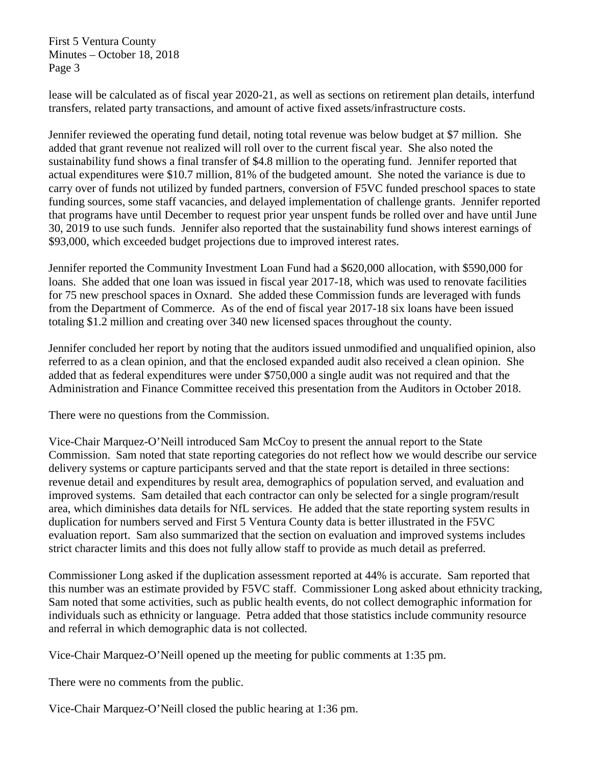lease will be calculated as of fiscal year 2020-21, as well as sections on retirement plan details, interfund transfers, related party transactions, and amount of active fixed assets/infrastructure costs.

Jennifer reviewed the operating fund detail, noting total revenue was below budget at \$7 million. She added that grant revenue not realized will roll over to the current fiscal year. She also noted the sustainability fund shows a final transfer of \$4.8 million to the operating fund. Jennifer reported that actual expenditures were \$10.7 million, 81% of the budgeted amount. She noted the variance is due to carry over of funds not utilized by funded partners, conversion of F5VC funded preschool spaces to state funding sources, some staff vacancies, and delayed implementation of challenge grants. Jennifer reported that programs have until December to request prior year unspent funds be rolled over and have until June 30, 2019 to use such funds. Jennifer also reported that the sustainability fund shows interest earnings of \$93,000, which exceeded budget projections due to improved interest rates.

Jennifer reported the Community Investment Loan Fund had a \$620,000 allocation, with \$590,000 for loans. She added that one loan was issued in fiscal year 2017-18, which was used to renovate facilities for 75 new preschool spaces in Oxnard. She added these Commission funds are leveraged with funds from the Department of Commerce. As of the end of fiscal year 2017-18 six loans have been issued totaling \$1.2 million and creating over 340 new licensed spaces throughout the county.

Jennifer concluded her report by noting that the auditors issued unmodified and unqualified opinion, also referred to as a clean opinion, and that the enclosed expanded audit also received a clean opinion. She added that as federal expenditures were under \$750,000 a single audit was not required and that the Administration and Finance Committee received this presentation from the Auditors in October 2018.

There were no questions from the Commission.

Vice-Chair Marquez-O'Neill introduced Sam McCoy to present the annual report to the State Commission. Sam noted that state reporting categories do not reflect how we would describe our service delivery systems or capture participants served and that the state report is detailed in three sections: revenue detail and expenditures by result area, demographics of population served, and evaluation and improved systems. Sam detailed that each contractor can only be selected for a single program/result area, which diminishes data details for NfL services. He added that the state reporting system results in duplication for numbers served and First 5 Ventura County data is better illustrated in the F5VC evaluation report. Sam also summarized that the section on evaluation and improved systems includes strict character limits and this does not fully allow staff to provide as much detail as preferred.

Commissioner Long asked if the duplication assessment reported at 44% is accurate. Sam reported that this number was an estimate provided by F5VC staff. Commissioner Long asked about ethnicity tracking, Sam noted that some activities, such as public health events, do not collect demographic information for individuals such as ethnicity or language. Petra added that those statistics include community resource and referral in which demographic data is not collected.

Vice-Chair Marquez-O'Neill opened up the meeting for public comments at 1:35 pm.

There were no comments from the public.

Vice-Chair Marquez-O'Neill closed the public hearing at 1:36 pm.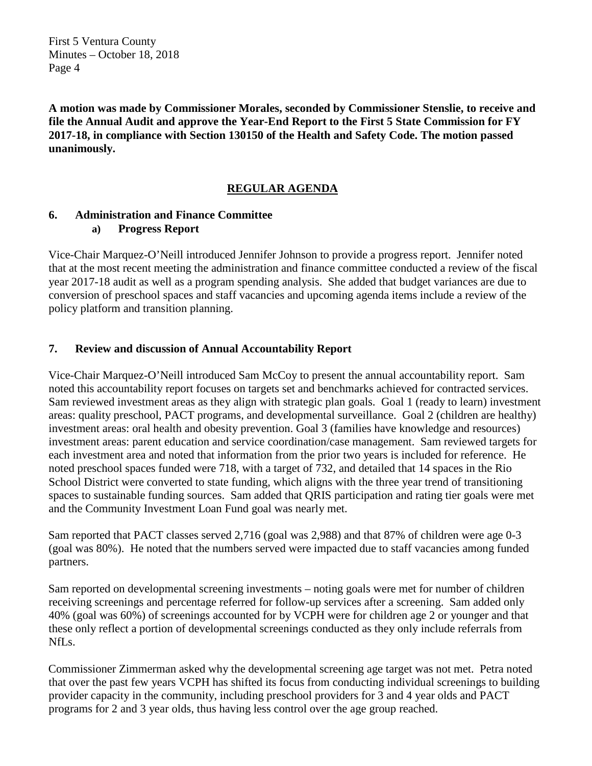**A motion was made by Commissioner Morales, seconded by Commissioner Stenslie, to receive and file the Annual Audit and approve the Year-End Report to the First 5 State Commission for FY 2017-18, in compliance with Section 130150 of the Health and Safety Code. The motion passed unanimously.**

## **REGULAR AGENDA**

#### **6. Administration and Finance Committee a) Progress Report**

Vice-Chair Marquez-O'Neill introduced Jennifer Johnson to provide a progress report. Jennifer noted that at the most recent meeting the administration and finance committee conducted a review of the fiscal year 2017-18 audit as well as a program spending analysis. She added that budget variances are due to conversion of preschool spaces and staff vacancies and upcoming agenda items include a review of the policy platform and transition planning.

#### **7. Review and discussion of Annual Accountability Report**

Vice-Chair Marquez-O'Neill introduced Sam McCoy to present the annual accountability report. Sam noted this accountability report focuses on targets set and benchmarks achieved for contracted services. Sam reviewed investment areas as they align with strategic plan goals. Goal 1 (ready to learn) investment areas: quality preschool, PACT programs, and developmental surveillance. Goal 2 (children are healthy) investment areas: oral health and obesity prevention. Goal 3 (families have knowledge and resources) investment areas: parent education and service coordination/case management. Sam reviewed targets for each investment area and noted that information from the prior two years is included for reference. He noted preschool spaces funded were 718, with a target of 732, and detailed that 14 spaces in the Rio School District were converted to state funding, which aligns with the three year trend of transitioning spaces to sustainable funding sources. Sam added that QRIS participation and rating tier goals were met and the Community Investment Loan Fund goal was nearly met.

Sam reported that PACT classes served 2,716 (goal was 2,988) and that 87% of children were age 0-3 (goal was 80%). He noted that the numbers served were impacted due to staff vacancies among funded partners.

Sam reported on developmental screening investments – noting goals were met for number of children receiving screenings and percentage referred for follow-up services after a screening. Sam added only 40% (goal was 60%) of screenings accounted for by VCPH were for children age 2 or younger and that these only reflect a portion of developmental screenings conducted as they only include referrals from NfLs.

Commissioner Zimmerman asked why the developmental screening age target was not met. Petra noted that over the past few years VCPH has shifted its focus from conducting individual screenings to building provider capacity in the community, including preschool providers for 3 and 4 year olds and PACT programs for 2 and 3 year olds, thus having less control over the age group reached.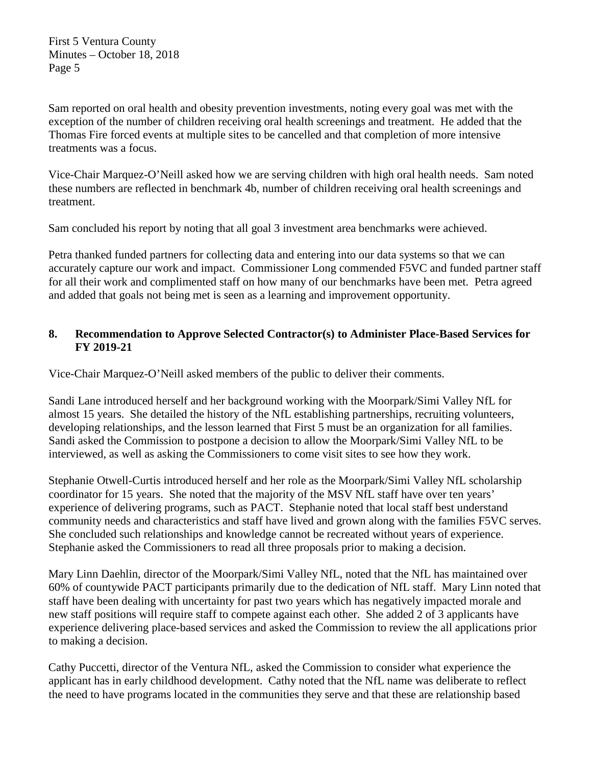Sam reported on oral health and obesity prevention investments, noting every goal was met with the exception of the number of children receiving oral health screenings and treatment. He added that the Thomas Fire forced events at multiple sites to be cancelled and that completion of more intensive treatments was a focus.

Vice-Chair Marquez-O'Neill asked how we are serving children with high oral health needs. Sam noted these numbers are reflected in benchmark 4b, number of children receiving oral health screenings and treatment.

Sam concluded his report by noting that all goal 3 investment area benchmarks were achieved.

Petra thanked funded partners for collecting data and entering into our data systems so that we can accurately capture our work and impact. Commissioner Long commended F5VC and funded partner staff for all their work and complimented staff on how many of our benchmarks have been met. Petra agreed and added that goals not being met is seen as a learning and improvement opportunity.

## **8. Recommendation to Approve Selected Contractor(s) to Administer Place-Based Services for FY 2019-21**

Vice-Chair Marquez-O'Neill asked members of the public to deliver their comments.

Sandi Lane introduced herself and her background working with the Moorpark/Simi Valley NfL for almost 15 years. She detailed the history of the NfL establishing partnerships, recruiting volunteers, developing relationships, and the lesson learned that First 5 must be an organization for all families. Sandi asked the Commission to postpone a decision to allow the Moorpark/Simi Valley NfL to be interviewed, as well as asking the Commissioners to come visit sites to see how they work.

Stephanie Otwell-Curtis introduced herself and her role as the Moorpark/Simi Valley NfL scholarship coordinator for 15 years. She noted that the majority of the MSV NfL staff have over ten years' experience of delivering programs, such as PACT. Stephanie noted that local staff best understand community needs and characteristics and staff have lived and grown along with the families F5VC serves. She concluded such relationships and knowledge cannot be recreated without years of experience. Stephanie asked the Commissioners to read all three proposals prior to making a decision.

Mary Linn Daehlin, director of the Moorpark/Simi Valley NfL, noted that the NfL has maintained over 60% of countywide PACT participants primarily due to the dedication of NfL staff. Mary Linn noted that staff have been dealing with uncertainty for past two years which has negatively impacted morale and new staff positions will require staff to compete against each other. She added 2 of 3 applicants have experience delivering place-based services and asked the Commission to review the all applications prior to making a decision.

Cathy Puccetti, director of the Ventura NfL, asked the Commission to consider what experience the applicant has in early childhood development. Cathy noted that the NfL name was deliberate to reflect the need to have programs located in the communities they serve and that these are relationship based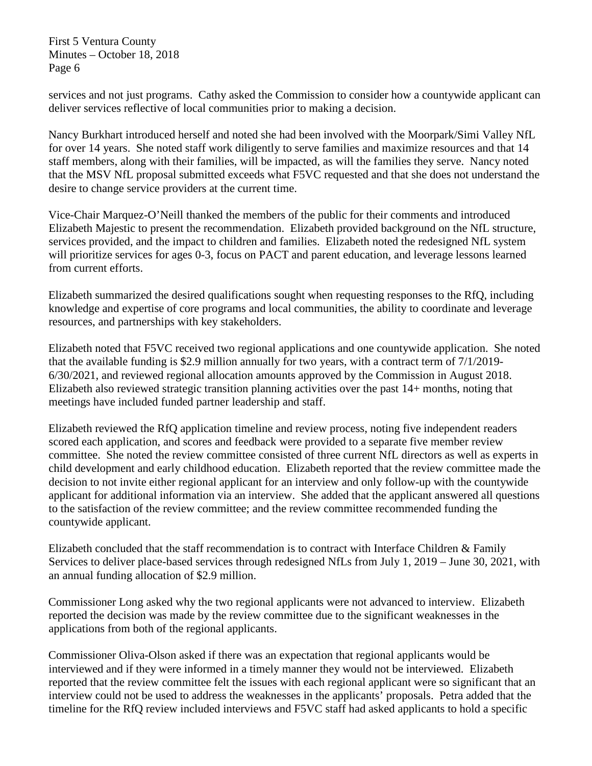services and not just programs. Cathy asked the Commission to consider how a countywide applicant can deliver services reflective of local communities prior to making a decision.

Nancy Burkhart introduced herself and noted she had been involved with the Moorpark/Simi Valley NfL for over 14 years. She noted staff work diligently to serve families and maximize resources and that 14 staff members, along with their families, will be impacted, as will the families they serve. Nancy noted that the MSV NfL proposal submitted exceeds what F5VC requested and that she does not understand the desire to change service providers at the current time.

Vice-Chair Marquez-O'Neill thanked the members of the public for their comments and introduced Elizabeth Majestic to present the recommendation. Elizabeth provided background on the NfL structure, services provided, and the impact to children and families. Elizabeth noted the redesigned NfL system will prioritize services for ages 0-3, focus on PACT and parent education, and leverage lessons learned from current efforts.

Elizabeth summarized the desired qualifications sought when requesting responses to the RfQ, including knowledge and expertise of core programs and local communities, the ability to coordinate and leverage resources, and partnerships with key stakeholders.

Elizabeth noted that F5VC received two regional applications and one countywide application. She noted that the available funding is \$2.9 million annually for two years, with a contract term of 7/1/2019- 6/30/2021, and reviewed regional allocation amounts approved by the Commission in August 2018. Elizabeth also reviewed strategic transition planning activities over the past 14+ months, noting that meetings have included funded partner leadership and staff.

Elizabeth reviewed the RfQ application timeline and review process, noting five independent readers scored each application, and scores and feedback were provided to a separate five member review committee. She noted the review committee consisted of three current NfL directors as well as experts in child development and early childhood education. Elizabeth reported that the review committee made the decision to not invite either regional applicant for an interview and only follow-up with the countywide applicant for additional information via an interview. She added that the applicant answered all questions to the satisfaction of the review committee; and the review committee recommended funding the countywide applicant.

Elizabeth concluded that the staff recommendation is to contract with Interface Children & Family Services to deliver place-based services through redesigned NfLs from July 1, 2019 – June 30, 2021, with an annual funding allocation of \$2.9 million.

Commissioner Long asked why the two regional applicants were not advanced to interview. Elizabeth reported the decision was made by the review committee due to the significant weaknesses in the applications from both of the regional applicants.

Commissioner Oliva-Olson asked if there was an expectation that regional applicants would be interviewed and if they were informed in a timely manner they would not be interviewed. Elizabeth reported that the review committee felt the issues with each regional applicant were so significant that an interview could not be used to address the weaknesses in the applicants' proposals. Petra added that the timeline for the RfQ review included interviews and F5VC staff had asked applicants to hold a specific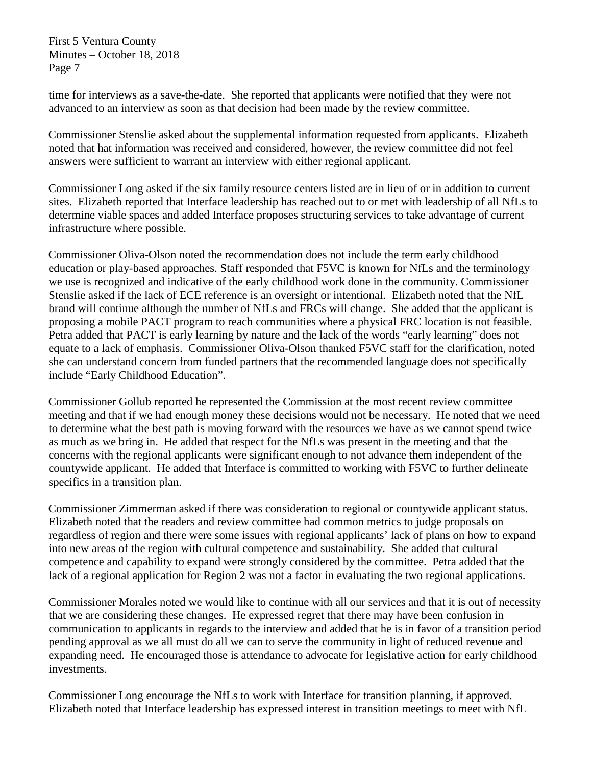time for interviews as a save-the-date. She reported that applicants were notified that they were not advanced to an interview as soon as that decision had been made by the review committee.

Commissioner Stenslie asked about the supplemental information requested from applicants. Elizabeth noted that hat information was received and considered, however, the review committee did not feel answers were sufficient to warrant an interview with either regional applicant.

Commissioner Long asked if the six family resource centers listed are in lieu of or in addition to current sites. Elizabeth reported that Interface leadership has reached out to or met with leadership of all NfLs to determine viable spaces and added Interface proposes structuring services to take advantage of current infrastructure where possible.

Commissioner Oliva-Olson noted the recommendation does not include the term early childhood education or play-based approaches. Staff responded that F5VC is known for NfLs and the terminology we use is recognized and indicative of the early childhood work done in the community. Commissioner Stenslie asked if the lack of ECE reference is an oversight or intentional. Elizabeth noted that the NfL brand will continue although the number of NfLs and FRCs will change. She added that the applicant is proposing a mobile PACT program to reach communities where a physical FRC location is not feasible. Petra added that PACT is early learning by nature and the lack of the words "early learning" does not equate to a lack of emphasis. Commissioner Oliva-Olson thanked F5VC staff for the clarification, noted she can understand concern from funded partners that the recommended language does not specifically include "Early Childhood Education".

Commissioner Gollub reported he represented the Commission at the most recent review committee meeting and that if we had enough money these decisions would not be necessary. He noted that we need to determine what the best path is moving forward with the resources we have as we cannot spend twice as much as we bring in. He added that respect for the NfLs was present in the meeting and that the concerns with the regional applicants were significant enough to not advance them independent of the countywide applicant. He added that Interface is committed to working with F5VC to further delineate specifics in a transition plan.

Commissioner Zimmerman asked if there was consideration to regional or countywide applicant status. Elizabeth noted that the readers and review committee had common metrics to judge proposals on regardless of region and there were some issues with regional applicants' lack of plans on how to expand into new areas of the region with cultural competence and sustainability. She added that cultural competence and capability to expand were strongly considered by the committee. Petra added that the lack of a regional application for Region 2 was not a factor in evaluating the two regional applications.

Commissioner Morales noted we would like to continue with all our services and that it is out of necessity that we are considering these changes. He expressed regret that there may have been confusion in communication to applicants in regards to the interview and added that he is in favor of a transition period pending approval as we all must do all we can to serve the community in light of reduced revenue and expanding need. He encouraged those is attendance to advocate for legislative action for early childhood investments.

Commissioner Long encourage the NfLs to work with Interface for transition planning, if approved. Elizabeth noted that Interface leadership has expressed interest in transition meetings to meet with NfL